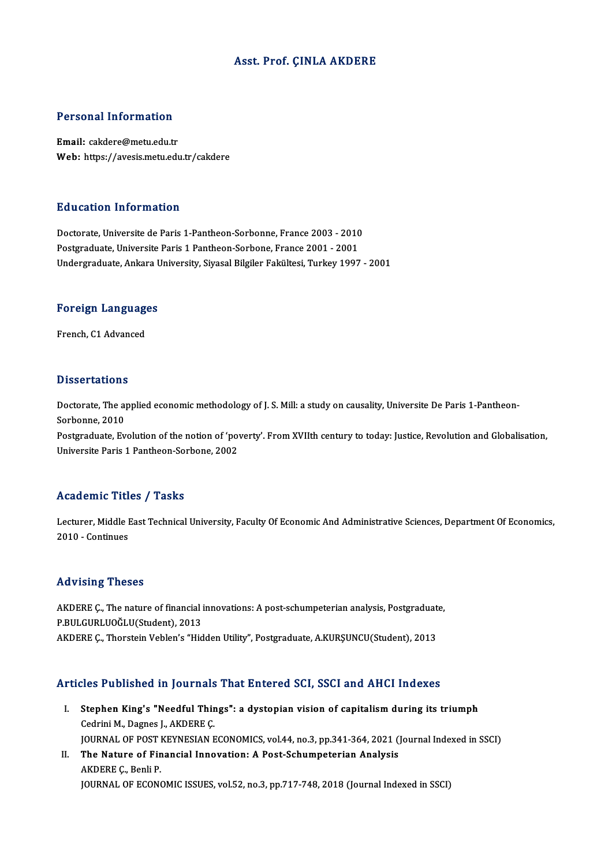## Asst. Prof. ÇINLA AKDERE

### Personal Information

Email: cakdere@metu.edu.tr Web: https://avesis.metu.edu.tr/cakdere

### Education Information

Education Information<br>Doctorate, Universite de Paris 1-Pantheon-Sorbonne, France 2003 - 2010<br>Postsraduate Universite Paris 1 Pantheon Sorbone, France 2001 - 2001 Putteducton Thromateurs<br>Doctorate, Universite de Paris 1-Pantheon-Sorbonne, France 2003 - 2010<br>Postgraduate, Universite Paris 1 Pantheon-Sorbone, France 2001 - 2001<br>Undergraduate, Ankara University, Siyasal Bilgilar Fakült Postgraduate, Universite Paris 1 Pantheon-Sorbone, France 2001 - 2001<br>Undergraduate, Ankara University, Siyasal Bilgiler Fakültesi, Turkey 1997 - 2001

## <sub>Undergraduate, Ankara t<br>Foreign Languages</sub> <mark>Foreign Languag</mark><br>French, C1 Advanced

French, C1 Advanced<br>Dissertations

Dissertations<br>Doctorate, The applied economic methodology of J. S. Mill: a study on causality, Universite De Paris 1-Pantheon-<br>Serbenne, 2010 Dissolutions<br>Doctorate, The ap<br>Sorbonne, 2010<br>Postaraduate, Ev Doctorate, The applied economic methodology of J. S. Mill: a study on causality, Universite De Paris 1-Pantheon-<br>Sorbonne, 2010<br>Postgraduate, Evolution of the notion of 'poverty'. From XVIIth century to today: Justice, Rev

Sorbonne, 2010<br>Postgraduate, Evolution of the notion of 'po<sup>.</sup><br>Universite Paris 1 Pantheon-Sorbone, 2002 Universite Paris 1 Pantheon-Sorbone, 2002<br>Academic Titles / Tasks

Academic Titles / Tasks<br>Lecturer, Middle East Technical University, Faculty Of Economic And Administrative Sciences, Department Of Economics,<br>2010 - Continues 11 - Middle 1<br>2010 - Continues<br>2010 - Continues

## 2010 - Continues<br>Advising Theses

Advising Theses<br>AKDERE Ç., The nature of financial innovations: A post-schumpeterian analysis, Postgraduate,<br>R.P.ULGURLUQČLU(Student), 2012 THE PLATF PLATFORM<br>AKDERE Ç., The nature of financial i<br>P.BULGURLUOĞLU(Student), 2013<br>AKDERE C. Therstein Veblen's "Hid AKDERE Ç., The nature of financial innovations: A post-schumpeterian analysis, Postgraduat<br>P.BULGURLUOĞLU(Student), 2013<br>AKDERE Ç., Thorstein Veblen's "Hidden Utility", Postgraduate, A.KURŞUNCU(Student), 2013 AKDERE Ç., Thorstein Veblen's "Hidden Utility", Postgraduate, A.KURŞUNCU(Student), 2013<br>Articles Published in Journals That Entered SCI, SSCI and AHCI Indexes

- rticles Published in Journals That Entered SCI, SSCI and AHCI Indexes<br>I. Stephen King's "Needful Things": a dystopian vision of capitalism during its triumph<br>Codrini M. Dagnes LAKDERE C Stephen King's "Needful Thir<br>Cedrini M., Dagnes J., AKDERE Ç.<br>JOUPNAL OF POST KEYNESIAN E Cedrini M., Dagnes J., AKDERE Ç.<br>JOURNAL OF POST KEYNESIAN ECONOMICS, vol.44, no.3, pp.341-364, 2021 (Journal Indexed in SSCI) Cedrini M., Dagnes J., AKDERE Ç.<br>JOURNAL OF POST KEYNESIAN ECONOMICS, vol.44, no.3, pp.341-364, 2021 (<br>II. The Nature of Financial Innovation: A Post-Schumpeterian Analysis<br>AKDERE C. Popli P.
- **JOURNAL OF POST I<br>The Nature of Fin<br>AKDERE Ç., Benli P.<br>JOUPNAL OF ECON** AKDERE Ç., Benli P.<br>JOURNAL OF ECONOMIC ISSUES, vol.52, no.3, pp.717-748, 2018 (Journal Indexed in SSCI)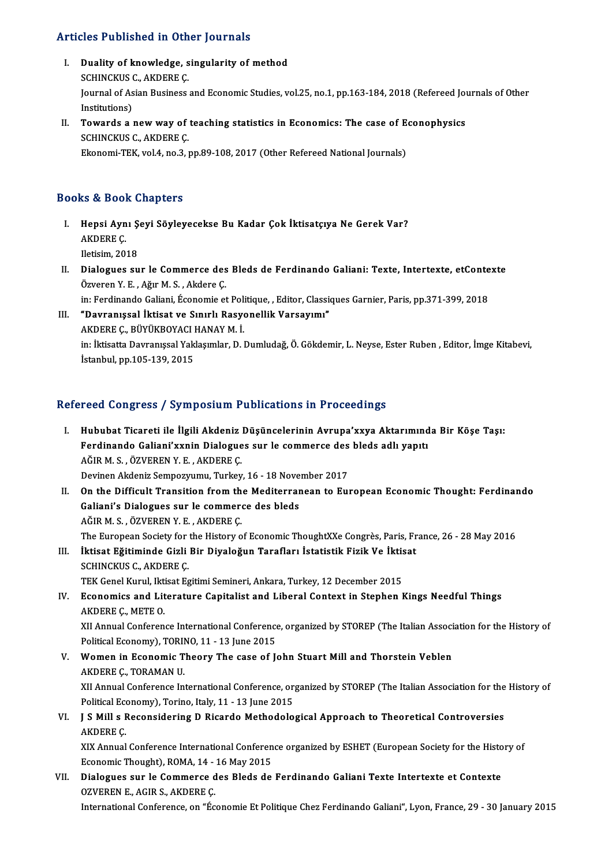## Articles Published in Other Journals

- Tricles Published in Other Journals<br>I. Duality of knowledge, singularity of method<br>SCHINGVIS G AVDERE C SCHINCKUS THROMAS IN STRING<br>Duality of knowledge, s<br>SCHINCKUS C., AKDERE Ç. Journal of Asian Business and Economic Studies, vol.25, no.1, pp.163-184, 2018 (Refereed Journals of Other Institutions) SCHINCKUS C., AKDERE C. Journal of Asian Business and Economic Studies, vol.25, no.1, pp.163-184, 2018 (Refereed Journal Institutions)<br>II. Towards a new way of teaching statistics in Economics: The case of Econophysics<br>SCUINCKUS CARDERE C
- Institutions)<br>Towards a new way of<br>SCHINCKUS C., AKDERE Ç.<br>Ekonomi TEK, vol 4 no 3 1 Towards a new way of teaching statistics in Economics: The case of E<br>SCHINCKUS C., AKDERE Ç.<br>Ekonomi-TEK, vol.4, no.3, pp.89-108, 2017 (Other Refereed National Journals) Ekonomi-TEK, vol.4, no.3, pp.89-108, 2017 (Other Refereed National Journals)<br>Books & Book Chapters

- ooks & Book Chapters<br>I. Hepsi Aynı Şeyi Söyleyecekse Bu Kadar Çok İktisatçıya Ne Gerek Var?<br>AKDERE C Hepsi Ayn<br>Hepsi Ayn<br>AKDERE Ç. Hepsi Aynı Ş<br>AKDERE Ç.<br>Iletisim, 2018<br>Dialogues au AKDERE Ç.<br>Iletisim, 2018<br>II. Dialogues sur le Commerce des Bleds de Ferdinando Galiani: Texte, Intertexte, etContexte<br>Ömionon V. E. Ažur M. S. Akdere C.
- Iletisim, 2018<br>Dialogues sur le Commerce des<br>Özveren Y.E., Ağır M.S., Akdere Ç.<br>in: Eerdinande Coliani, Économie et Dialogues sur le Commerce des Bleds de Ferdinando Galiani: Texte, Intertexte, etConte<br>Özveren Y. E. , Ağır M. S. , Akdere Ç.<br>in: Ferdinando Galiani, Économie et Politique, , Editor, Classiques Garnier, Paris, pp.371-399, 2 Özveren Y. E. , Ağır M. S. , Akdere Ç.<br>in: Ferdinando Galiani, Économie et Politique, , Editor, Classiques Garnier, Paris, pp.371-399, 2018<br>III. "Davranışsal İktisat ve Sınırlı Rasyonellik Varsayımı"
- in: Ferdinando Galiani, Économie et Poli<br>**"Davranışsal İktisat ve Sınırlı Rasy**o<br>AKDERE Ç., BÜYÜKBOYACI HANAY M. İ.<br>in: İktisatta Davranıssal Vaklasımlar, D. I in: İktisatta Davranışsal Yaklaşımlar, D. Dumludağ, Ö. Gökdemir, L. Neyse, Ester Ruben , Editor, İmge Kitabevi,<br>İstanbul, pp.105-139, 2015 AKDERE Ç., BÜYÜKBOYACI I<br>in: İktisatta Davranışsal Yak<br>İstanbul, pp.105-139, 2015

## Refereed Congress / Symposium Publications in Proceedings

- efereed Congress / Symposium Publications in Proceedings<br>I. Hububat Ticareti ile İlgili Akdeniz Düşüncelerinin Avrupa'xxya Aktarımında Bir Köşe Taşı:<br>Ferdinande Calieni'yynin Dialegues sur le semmerse des blede adlı yapıtı Ferdinando Galiani'xxnin Dialogues sur le commerce des bleds adlı yapıtı<br>Ferdinando Galiani'xxnin Dialogues sur le commerce des bleds adlı yapıtı Hububat Ticareti ile İlgili Akdeniz<br>Ferdinando Galiani'xxnin Dialogue<br>AĞIR M. S. , ÖZVEREN Y. E. , AKDERE Ç.<br>Devinen Akdeniz Semnewumu, Turkey Ferdinando Galiani'xxnin Dialogues sur le commerce des bleds adlı yapıtı<br>AĞIR M. S., ÖZVEREN Y. E., AKDERE Ç.<br>Devinen Akdeniz Sempozyumu, Turkey, 16 - 18 November 2017 AĞIR M. S. , ÖZVEREN Y. E. , AKDERE Ç.<br>Devinen Akdeniz Sempozyumu, Turkey, 16 - 18 November 2017<br>II. On the Difficult Transition from the Mediterranean to European Economic Thought: Ferdinando<br>Celiani'e Dielegues aur le se Devinen Akdeniz Sempozyumu, Turkey, 16 - 18 Nove<br>On the Difficult Transition from the Mediterrar<br>Galiani's Dialogues sur le commerce des bleds<br>AČIP M S LÖZVEREN V E LAKDERE C On the Difficult Transition from th<br>Galiani's Dialogues sur le commer<br>AĞIR M. S. , ÖZVEREN Y. E. , AKDERE Ç.<br>The European Society for the History o Galiani's Dialogues sur le commerce des bleds<br>AĞIR M. S. , ÖZVEREN Y. E. , AKDERE Ç.<br>The European Society for the History of Economic ThoughtXXe Congrès, Paris, France, 26 - 28 May 2016 AĞIR M. S. , ÖZVEREN Y. E. , AKDERE Ç.<br>The European Society for the History of Economic ThoughtXXe Congrès, Paris, Fr<br>III. İktisat Eğitiminde Gizli Bir Diyaloğun Tarafları İstatistik Fizik Ve İktisat<br>SCHINCKUS C. AKDERE C The European Society for<br>İktisat Eğitiminde Gizli<br>SCHINCKUS C., AKDERE Ç.<br>TEK Conel Kurul Iktisat Eq İktisat Eğitiminde Gizli Bir Diyaloğun Tarafları İstatistik Fizik Ve İktis<br>SCHINCKUS C., AKDERE Ç.<br>TEK Genel Kurul, Iktisat Egitimi Semineri, Ankara, Turkey, 12 December 2015<br>Feonomiss and Literature Canitalist and Liberal SCHINCKUS C., AKDERE C.<br>TEK Genel Kurul, Iktisat Egitimi Semineri, Ankara, Turkey, 12 December 2015<br>IV. Economics and Literature Capitalist and Liberal Context in Stephen Kings Needful Things<br>AKDERE C., METE O. TEK Genel Kurul, Ikt<br>Economics and Lit<br>AKDERE Ç., METE O.<br>YU Annual Conferen Economics and Literature Capitalist and Liberal Context in Stephen Kings Needful Things<br>AKDERE Ç., METE O.<br>XII Annual Conference International Conference, organized by STOREP (The Italian Association for the History of<br>Pol AKDERE Ç., METE O.<br>XII Annual Conference International Conference<br>Political Economy), TORINO, 11 - 13 June 2015<br>Women in Economis Theory, The case of L XII Annual Conference International Conference, organized by STOREP (The Italian Associngle Political Economy), TORINO, 11 - 13 June 2015<br>V. Women in Economic Theory The case of John Stuart Mill and Thorstein Veblen<br>AKDERE Political Economy), TORII<br>Women in Economic T<br>AKDERE Ç., TORAMAN U.<br>YU Annual Conforence In AKDERE Ç., TORAMAN U.<br>XII Annual Conference International Conference, organized by STOREP (The Italian Association for the History of AKDERE Ç., TORAMAN U.<br>XII Annual Conference International Conference, or:<br>Political Economy), Torino, Italy, 11 - 13 June 2015<br>L.S. Mill.e Reconsidering D. Bisarde Methodele VI. J S Mill s Reconsidering D Ricardo Methodological Approach to Theoretical Controversies<br>AKDERE C. Political Eco<br>**J S Mill s F**<br>AKDERE Ç.<br>YIX Annual **J S Mill s Reconsidering D Ricardo Methodological Approach to Theoretical Controversies<br>AKDERE Ç.<br>XIX Annual Conference International Conference organized by ESHET (European Society for the History of<br>Feonomia Thought), P** AKDERE Ç.<br>XIX Annual Conference International Conferen<br>Economic Thought), ROMA, 14 - 16 May 2015<br>Dialogues sur le Commerse des Blods de XIX Annual Conference International Conference organized by ESHET (European Society for the Histo<br>Economic Thought), ROMA, 14 - 16 May 2015<br>VII. Dialogues sur le Commerce des Bleds de Ferdinando Galiani Texte Intertexte et Economic Thought), ROMA, 14 - 16 May 2015<br>Dialogues sur le Commerce des Bleds de Ferdinando Galiani Texte Intertexte et Contexte<br>OZVEREN E., AGIR S., AKDERE Ç.
- International Conference, on "Économie Et Politique Chez Ferdinando Galiani", Lyon, France, 29 30 January 2015